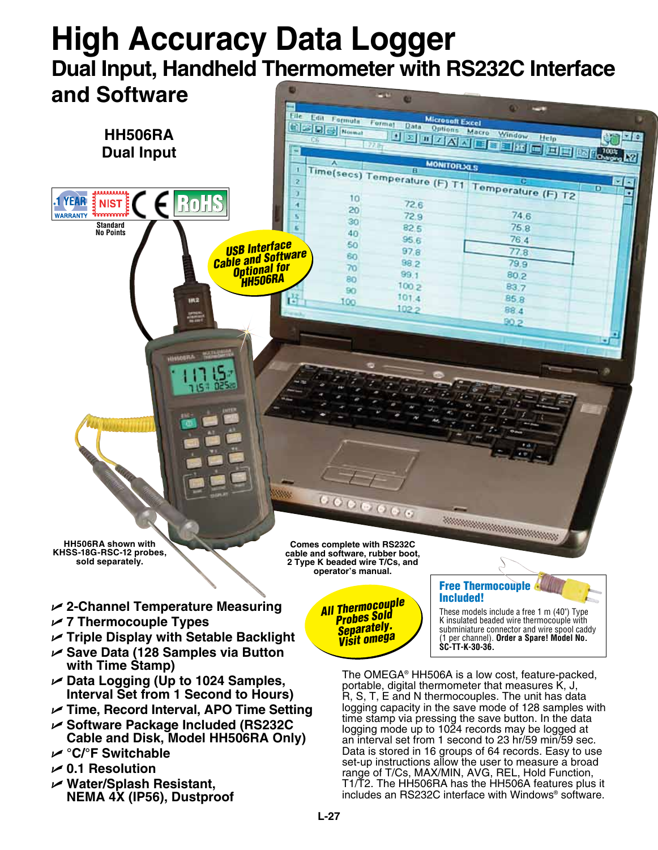## **High Accuracy Data Logger Dual Input, Handheld Thermometer with RS232C Interface and Software ANY**

e.



- U **2-Channel Temperature Measuring**
- U **7 Thermocouple Types**
- U **Triple Display with Setable Backlight**
- U **Save Data (128 Samples via Button with Time Stamp)**
- U **Data Logging (Up to 1024 Samples, Interval Set from 1 Second to Hours)**
- U **Time, Record Interval, APO Time Setting**
- U **Software Package Included (RS232C Cable and Disk, Model HH506RA Only)**
- U **°C/°F Switchable**
- U **0.1 Resolution**
- U **Water/Splash Resistant, NEMA 4X (IP56), Dustproof**

*All Thermocouple Probes Sold Separately. Visit omega*

## Free Thermocouple Included!

These models include a free 1 m (40") Type K insulated beaded wire thermocouple with subminiature connector and wire spool caddy (1 per channel). **Order a Spare! Model No. SC-TT-K-30-36.**

The OMEGA® HH506A is a low cost, feature-packed, portable, digital thermometer that measures K, J, R, S, T, E and N thermocouples. The unit has data logging capacity in the save mode of 128 samples with time stamp via pressing the save button. In the data logging mode up to 1024 records may be logged at an interval set from 1 second to 23 hr/59 min/59 sec. Data is stored in 16 groups of 64 records. Easy to use set-up instructions allow the user to measure a broad range of T/Cs, MAX/MIN, AVG, REL, Hold Function, T1/T2. The HH506RA has the HH506A features plus it includes an RS232C interface with Windows® software.